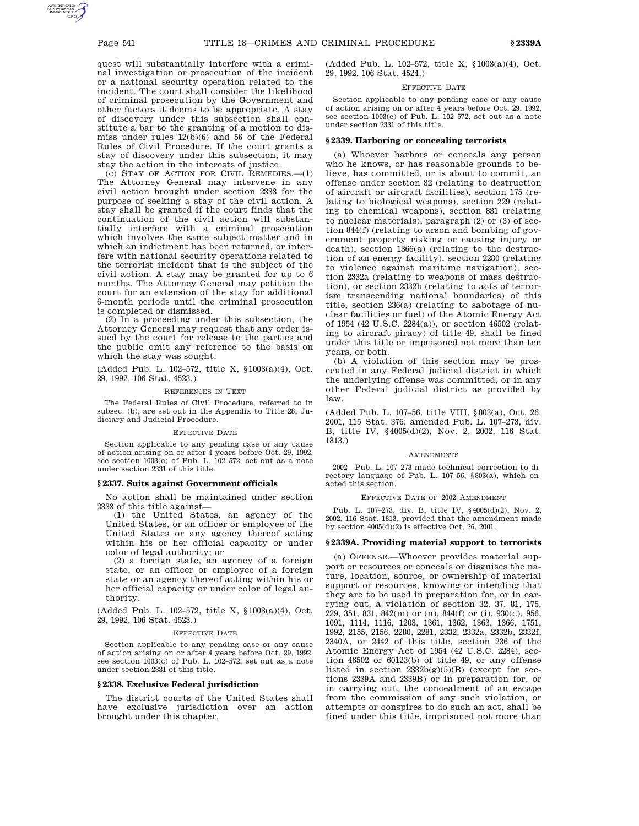quest will substantially interfere with a criminal investigation or prosecution of the incident or a national security operation related to the incident. The court shall consider the likelihood of criminal prosecution by the Government and other factors it deems to be appropriate. A stay of discovery under this subsection shall constitute a bar to the granting of a motion to dismiss under rules 12(b)(6) and 56 of the Federal Rules of Civil Procedure. If the court grants a stay of discovery under this subsection, it may stay the action in the interests of justice.

(c) STAY OF ACTION FOR CIVIL REMEDIES.—(1) The Attorney General may intervene in any civil action brought under section 2333 for the purpose of seeking a stay of the civil action. A stay shall be granted if the court finds that the continuation of the civil action will substantially interfere with a criminal prosecution which involves the same subject matter and in which an indictment has been returned, or interfere with national security operations related to the terrorist incident that is the subject of the civil action. A stay may be granted for up to 6 months. The Attorney General may petition the court for an extension of the stay for additional 6-month periods until the criminal prosecution is completed or dismissed.

(2) In a proceeding under this subsection, the Attorney General may request that any order issued by the court for release to the parties and the public omit any reference to the basis on which the stay was sought.

(Added Pub. L. 102–572, title X, §1003(a)(4), Oct. 29, 1992, 106 Stat. 4523.)

## REFERENCES IN TEXT

The Federal Rules of Civil Procedure, referred to in subsec. (b), are set out in the Appendix to Title 28, Judiciary and Judicial Procedure.

## EFFECTIVE DATE

Section applicable to any pending case or any cause of action arising on or after 4 years before Oct. 29, 1992, see section  $1003(c)$  of Pub. L. 102-572, set out as a note under section 2331 of this title.

## **§ 2337. Suits against Government officials**

No action shall be maintained under section 2333 of this title against—

(1) the United States, an agency of the United States, or an officer or employee of the United States or any agency thereof acting within his or her official capacity or under color of legal authority; or

(2) a foreign state, an agency of a foreign state, or an officer or employee of a foreign state or an agency thereof acting within his or her official capacity or under color of legal authority.

(Added Pub. L. 102–572, title X, §1003(a)(4), Oct. 29, 1992, 106 Stat. 4523.)

## EFFECTIVE DATE

Section applicable to any pending case or any cause of action arising on or after 4 years before Oct. 29, 1992, see section  $1003(c)$  of Pub. L. 102-572, set out as a note under section 2331 of this title.

# **§ 2338. Exclusive Federal jurisdiction**

The district courts of the United States shall have exclusive jurisdiction over an action brought under this chapter.

(Added Pub. L. 102–572, title X, §1003(a)(4), Oct. 29, 1992, 106 Stat. 4524.)

# EFFECTIVE DATE

Section applicable to any pending case or any cause of action arising on or after 4 years before Oct. 29, 1992, see section 1003(c) of Pub. L. 102–572, set out as a note under section 2331 of this title.

# **§ 2339. Harboring or concealing terrorists**

(a) Whoever harbors or conceals any person who he knows, or has reasonable grounds to believe, has committed, or is about to commit, an offense under section 32 (relating to destruction of aircraft or aircraft facilities), section 175 (relating to biological weapons), section 229 (relating to chemical weapons), section 831 (relating to nuclear materials), paragraph (2) or (3) of section 844(f) (relating to arson and bombing of government property risking or causing injury or death), section 1366(a) (relating to the destruction of an energy facility), section 2280 (relating to violence against maritime navigation), section 2332a (relating to weapons of mass destruction), or section 2332b (relating to acts of terrorism transcending national boundaries) of this title, section 236(a) (relating to sabotage of nuclear facilities or fuel) of the Atomic Energy Act of 1954 (42 U.S.C. 2284(a)), or section 46502 (relating to aircraft piracy) of title 49, shall be fined under this title or imprisoned not more than ten years, or both.

(b) A violation of this section may be prosecuted in any Federal judicial district in which the underlying offense was committed, or in any other Federal judicial district as provided by law.

(Added Pub. L. 107–56, title VIII, §803(a), Oct. 26, 2001, 115 Stat. 376; amended Pub. L. 107–273, div. B, title IV, §4005(d)(2), Nov. 2, 2002, 116 Stat. 1813.)

#### AMENDMENTS

2002—Pub. L. 107–273 made technical correction to directory language of Pub. L. 107–56, §803(a), which enacted this section.

## EFFECTIVE DATE OF 2002 AMENDMENT

Pub. L. 107–273, div. B, title IV, §4005(d)(2), Nov. 2, 2002, 116 Stat. 1813, provided that the amendment made by section  $4005(d)(2)$  is effective Oct. 26, 2001.

# **§ 2339A. Providing material support to terrorists**

(a) OFFENSE.—Whoever provides material support or resources or conceals or disguises the nature, location, source, or ownership of material support or resources, knowing or intending that they are to be used in preparation for, or in carrying out, a violation of section 32, 37, 81, 175, 229, 351, 831, 842(m) or (n), 844(f) or (i), 930(c), 956, 1091, 1114, 1116, 1203, 1361, 1362, 1363, 1366, 1751, 1992, 2155, 2156, 2280, 2281, 2332, 2332a, 2332b, 2332f, 2340A, or 2442 of this title, section 236 of the Atomic Energy Act of 1954 (42 U.S.C. 2284), section 46502 or 60123(b) of title 49, or any offense listed in section  $2332b(g)(5)(B)$  (except for sections 2339A and 2339B) or in preparation for, or in carrying out, the concealment of an escape from the commission of any such violation, or attempts or conspires to do such an act, shall be fined under this title, imprisoned not more than